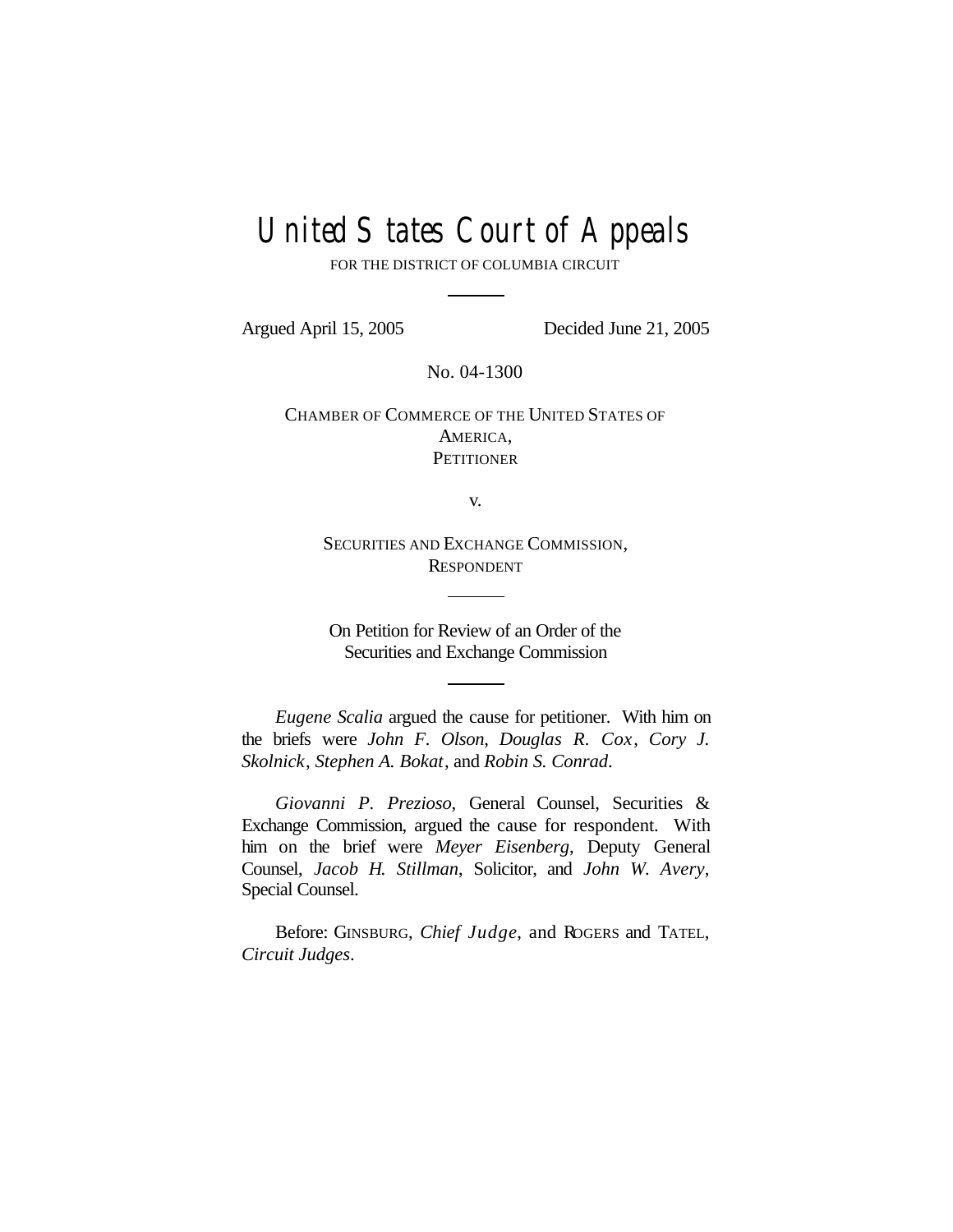# United States Court of Appeals

FOR THE DISTRICT OF COLUMBIA CIRCUIT

Argued April 15, 2005 Decided June 21, 2005

No. 04-1300

CHAMBER OF COMMERCE OF THE UNITED STATES OF AMERICA, **PETITIONER** 

v.

SECURITIES AND EXCHANGE COMMISSION, RESPONDENT

On Petition for Review of an Order of the Securities and Exchange Commission

*Eugene Scalia* argued the cause for petitioner. With him on the briefs were *John F. Olson*, *Douglas R. Cox*, *Cory J. Skolnick*, *Stephen A. Bokat*, and *Robin S. Conrad*.

*Giovanni P. Prezioso*, General Counsel, Securities & Exchange Commission, argued the cause for respondent. With him on the brief were *Meyer Eisenberg*, Deputy General Counsel, *Jacob H. Stillman*, Solicitor, and *John W. Avery*, Special Counsel.

Before: GINSBURG, *Chief Judge*, and ROGERS and TATEL, *Circuit Judges*.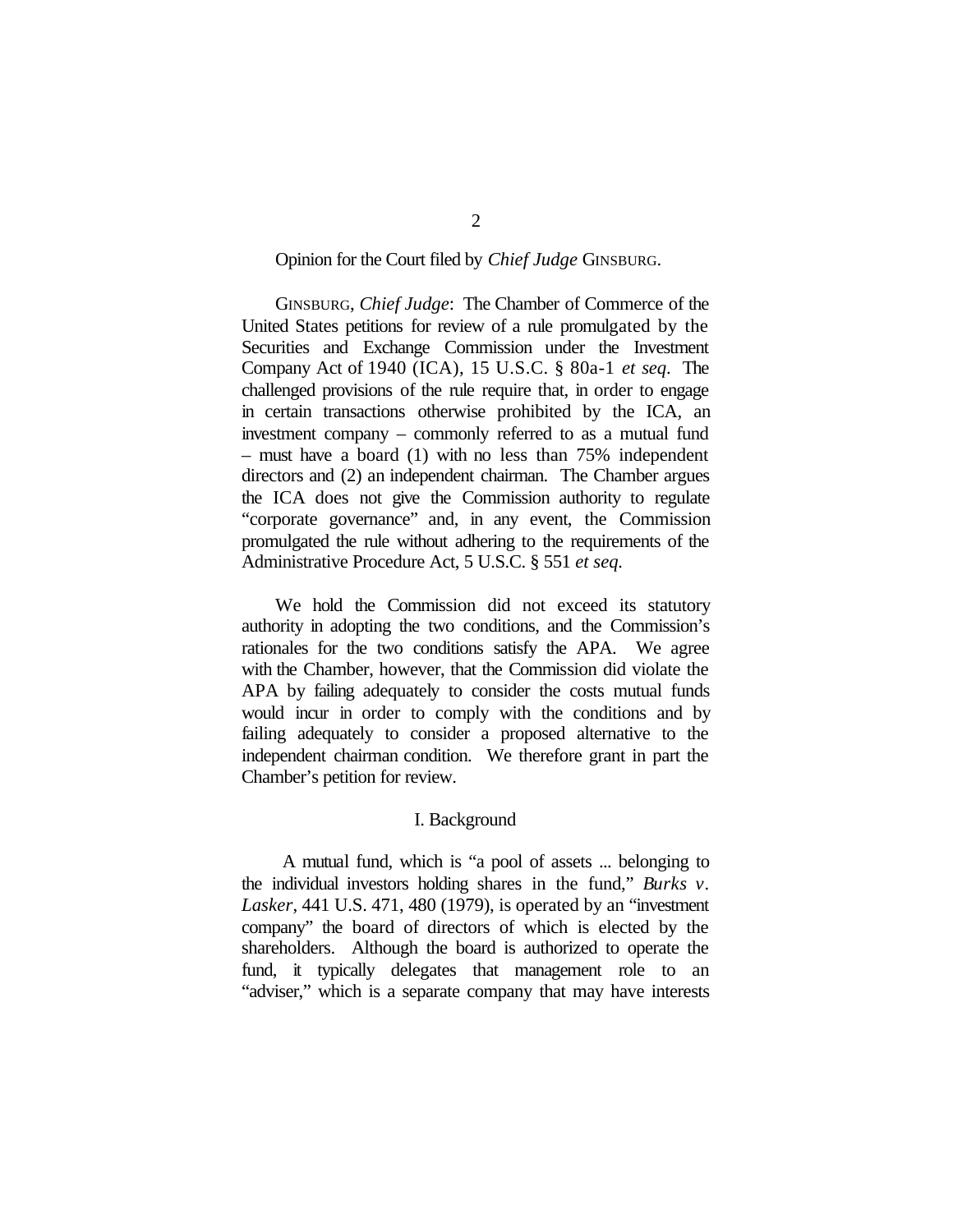# Opinion for the Court filed by *Chief Judge* GINSBURG.

GINSBURG, *Chief Judge*: The Chamber of Commerce of the United States petitions for review of a rule promulgated by the Securities and Exchange Commission under the Investment Company Act of 1940 (ICA), 15 U.S.C. § 80a-1 *et seq*. The challenged provisions of the rule require that, in order to engage in certain transactions otherwise prohibited by the ICA, an investment company – commonly referred to as a mutual fund – must have a board (1) with no less than 75% independent directors and (2) an independent chairman. The Chamber argues the ICA does not give the Commission authority to regulate "corporate governance" and, in any event, the Commission promulgated the rule without adhering to the requirements of the Administrative Procedure Act, 5 U.S.C. § 551 *et seq.*

We hold the Commission did not exceed its statutory authority in adopting the two conditions, and the Commission's rationales for the two conditions satisfy the APA. We agree with the Chamber, however, that the Commission did violate the APA by failing adequately to consider the costs mutual funds would incur in order to comply with the conditions and by failing adequately to consider a proposed alternative to the independent chairman condition. We therefore grant in part the Chamber's petition for review.

# I. Background

A mutual fund, which is "a pool of assets ... belonging to the individual investors holding shares in the fund," *Burks v. Lasker*, 441 U.S. 471, 480 (1979), is operated by an "investment company" the board of directors of which is elected by the shareholders. Although the board is authorized to operate the fund, it typically delegates that management role to an "adviser," which is a separate company that may have interests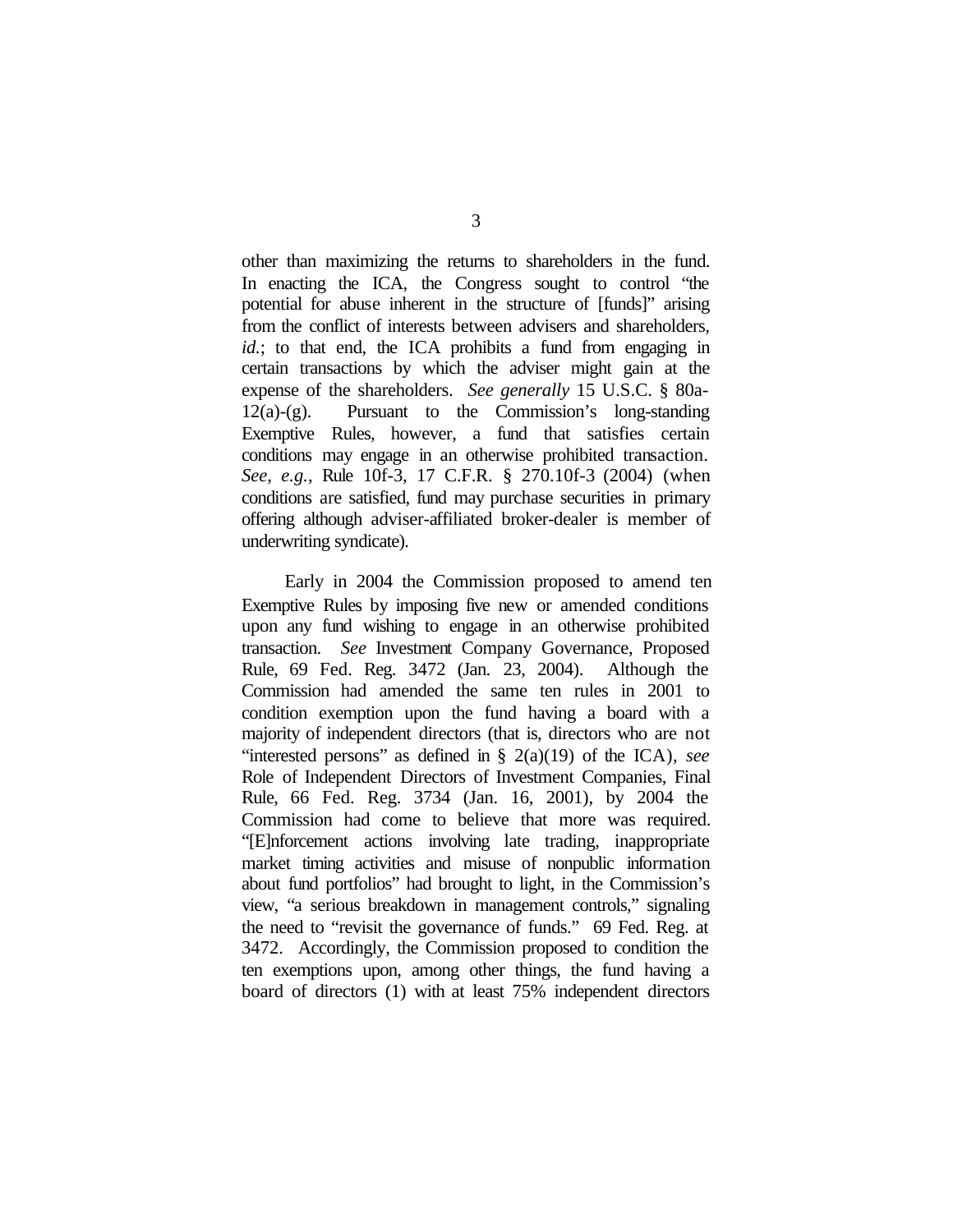other than maximizing the returns to shareholders in the fund. In enacting the ICA, the Congress sought to control "the potential for abuse inherent in the structure of [funds]" arising from the conflict of interests between advisers and shareholders, *id.*; to that end, the ICA prohibits a fund from engaging in certain transactions by which the adviser might gain at the expense of the shareholders. *See generally* 15 U.S.C. § 80a- $12(a)-(g)$ . Pursuant to the Commission's long-standing Exemptive Rules, however, a fund that satisfies certain conditions may engage in an otherwise prohibited transaction. *See, e.g.*, Rule 10f-3, 17 C.F.R. § 270.10f-3 (2004) (when conditions are satisfied, fund may purchase securities in primary offering although adviser-affiliated broker-dealer is member of underwriting syndicate).

 Early in 2004 the Commission proposed to amend ten Exemptive Rules by imposing five new or amended conditions upon any fund wishing to engage in an otherwise prohibited transaction. *See* Investment Company Governance, Proposed Rule, 69 Fed. Reg. 3472 (Jan. 23, 2004). Although the Commission had amended the same ten rules in 2001 to condition exemption upon the fund having a board with a majority of independent directors (that is, directors who are not "interested persons" as defined in § 2(a)(19) of the ICA), *see* Role of Independent Directors of Investment Companies, Final Rule, 66 Fed. Reg. 3734 (Jan. 16, 2001), by 2004 the Commission had come to believe that more was required. "[E]nforcement actions involving late trading, inappropriate market timing activities and misuse of nonpublic information about fund portfolios" had brought to light, in the Commission's view, "a serious breakdown in management controls," signaling the need to "revisit the governance of funds." 69 Fed. Reg. at 3472. Accordingly, the Commission proposed to condition the ten exemptions upon, among other things, the fund having a board of directors (1) with at least 75% independent directors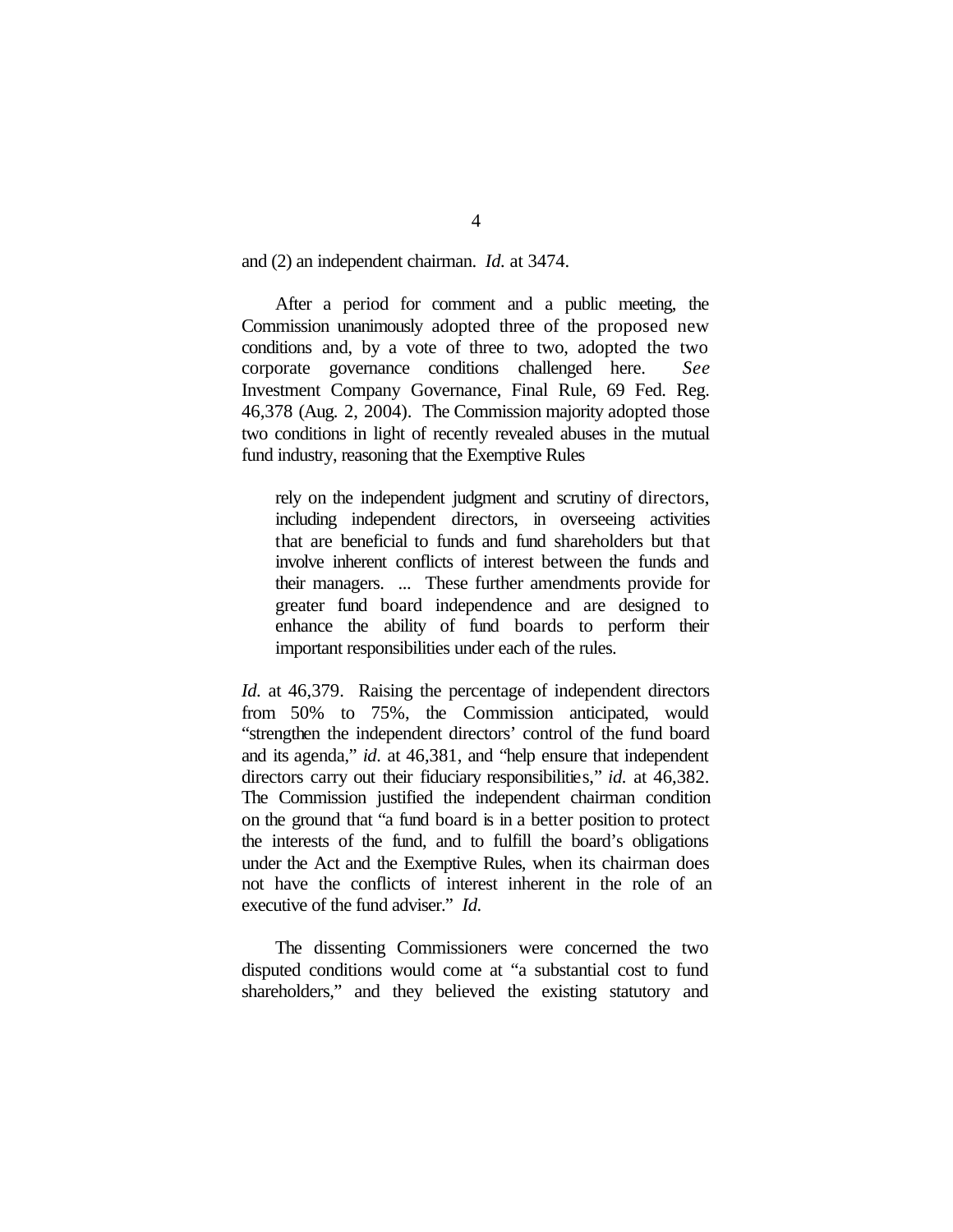and (2) an independent chairman. *Id.* at 3474.

After a period for comment and a public meeting, the Commission unanimously adopted three of the proposed new conditions and, by a vote of three to two, adopted the two corporate governance conditions challenged here. *See* Investment Company Governance, Final Rule, 69 Fed. Reg. 46,378 (Aug. 2, 2004). The Commission majority adopted those two conditions in light of recently revealed abuses in the mutual fund industry, reasoning that the Exemptive Rules

rely on the independent judgment and scrutiny of directors, including independent directors, in overseeing activities that are beneficial to funds and fund shareholders but that involve inherent conflicts of interest between the funds and their managers. ... These further amendments provide for greater fund board independence and are designed to enhance the ability of fund boards to perform their important responsibilities under each of the rules.

*Id.* at 46,379. Raising the percentage of independent directors from 50% to 75%, the Commission anticipated, would "strengthen the independent directors' control of the fund board and its agenda," *id.* at 46,381, and "help ensure that independent directors carry out their fiduciary responsibilities," *id.* at 46,382. The Commission justified the independent chairman condition on the ground that "a fund board is in a better position to protect the interests of the fund, and to fulfill the board's obligations under the Act and the Exemptive Rules, when its chairman does not have the conflicts of interest inherent in the role of an executive of the fund adviser." *Id.*

The dissenting Commissioners were concerned the two disputed conditions would come at "a substantial cost to fund shareholders," and they believed the existing statutory and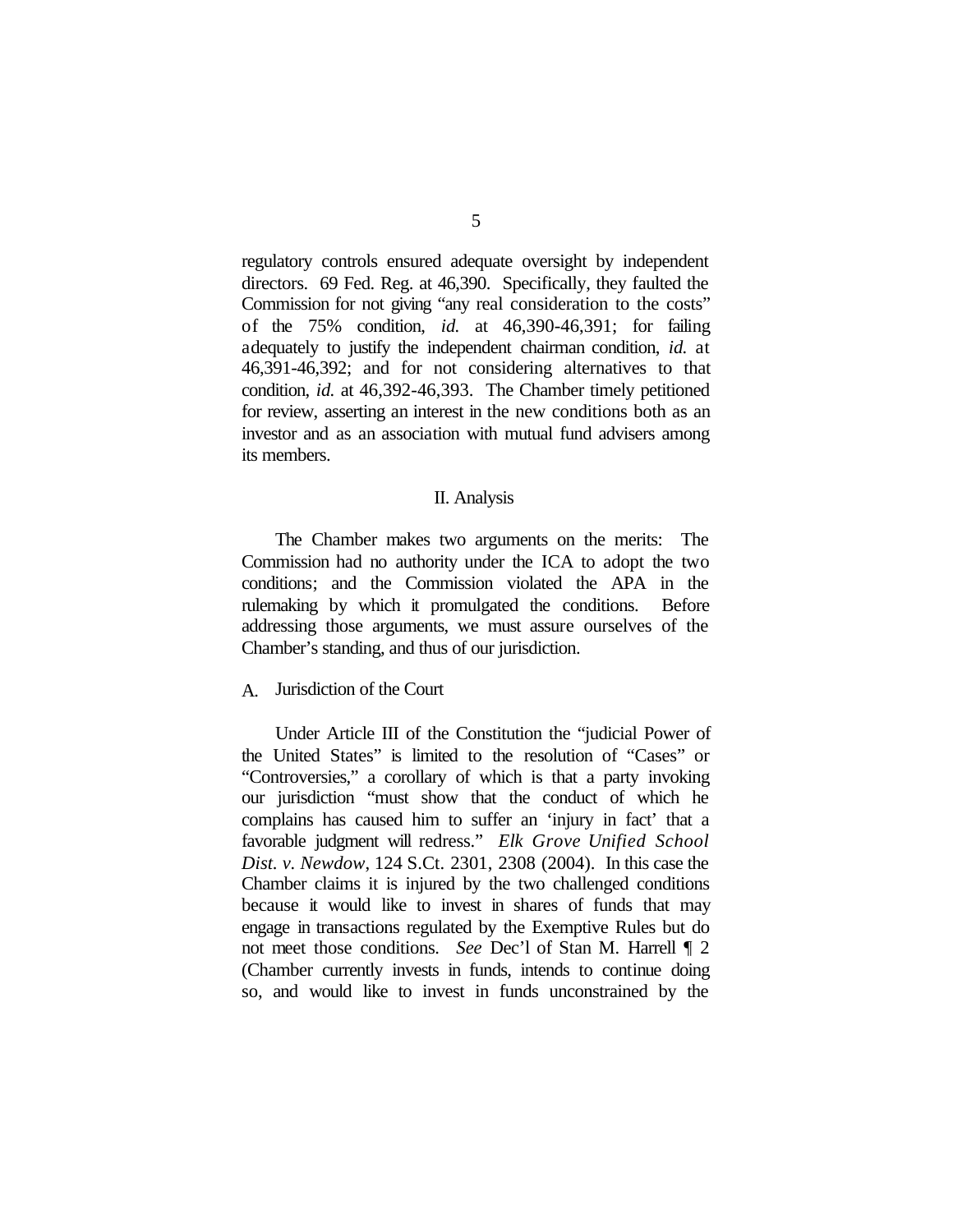regulatory controls ensured adequate oversight by independent directors. 69 Fed. Reg. at 46,390. Specifically, they faulted the Commission for not giving "any real consideration to the costs" of the 75% condition, *id.* at 46,390-46,391; for failing adequately to justify the independent chairman condition, *id.* at 46,391-46,392; and for not considering alternatives to that condition, *id.* at 46,392-46,393. The Chamber timely petitioned for review, asserting an interest in the new conditions both as an investor and as an association with mutual fund advisers among its members.

## II. Analysis

The Chamber makes two arguments on the merits: The Commission had no authority under the ICA to adopt the two conditions; and the Commission violated the APA in the rulemaking by which it promulgated the conditions. Before addressing those arguments, we must assure ourselves of the Chamber's standing, and thus of our jurisdiction.

#### A. Jurisdiction of the Court

Under Article III of the Constitution the "judicial Power of the United States" is limited to the resolution of "Cases" or "Controversies," a corollary of which is that a party invoking our jurisdiction "must show that the conduct of which he complains has caused him to suffer an 'injury in fact' that a favorable judgment will redress." *Elk Grove Unified School Dist. v. Newdow*, 124 S.Ct. 2301, 2308 (2004). In this case the Chamber claims it is injured by the two challenged conditions because it would like to invest in shares of funds that may engage in transactions regulated by the Exemptive Rules but do not meet those conditions. *See* Dec'l of Stan M. Harrell ¶ 2 (Chamber currently invests in funds, intends to continue doing so, and would like to invest in funds unconstrained by the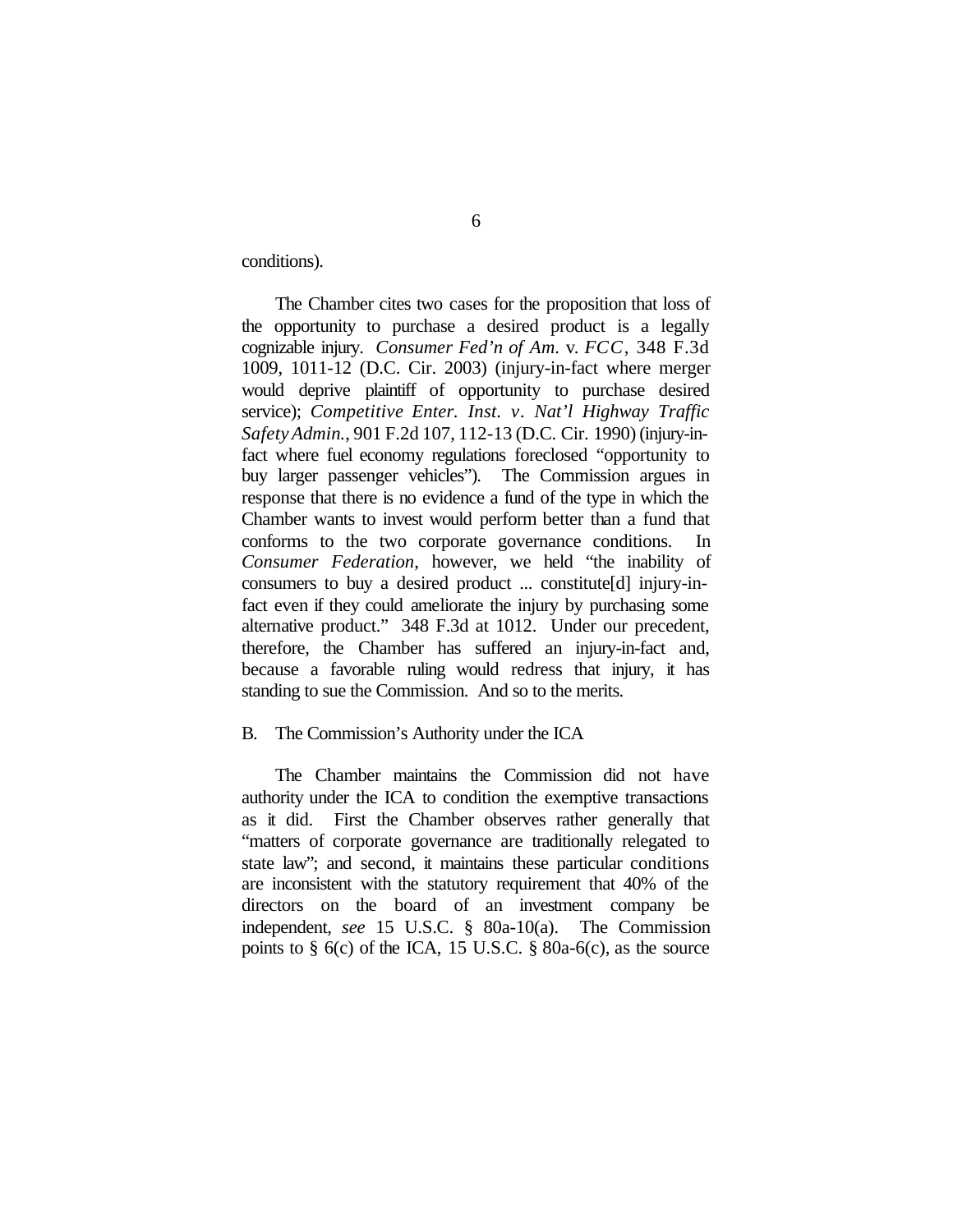conditions).

The Chamber cites two cases for the proposition that loss of the opportunity to purchase a desired product is a legally cognizable injury. *Consumer Fed'n of Am.* v. *FCC*, 348 F.3d 1009, 1011-12 (D.C. Cir. 2003) (injury-in-fact where merger would deprive plaintiff of opportunity to purchase desired service); *Competitive Enter. Inst. v. Nat'l Highway Traffic SafetyAdmin.*, 901 F.2d 107, 112-13 (D.C. Cir. 1990) (injury-infact where fuel economy regulations foreclosed "opportunity to buy larger passenger vehicles"). The Commission argues in response that there is no evidence a fund of the type in which the Chamber wants to invest would perform better than a fund that conforms to the two corporate governance conditions. In *Consumer Federation*, however, we held "the inability of consumers to buy a desired product ... constitute[d] injury-infact even if they could ameliorate the injury by purchasing some alternative product." 348 F.3d at 1012. Under our precedent, therefore, the Chamber has suffered an injury-in-fact and, because a favorable ruling would redress that injury, it has standing to sue the Commission. And so to the merits.

#### B. The Commission's Authority under the ICA

The Chamber maintains the Commission did not have authority under the ICA to condition the exemptive transactions as it did. First the Chamber observes rather generally that "matters of corporate governance are traditionally relegated to state law"; and second, it maintains these particular conditions are inconsistent with the statutory requirement that 40% of the directors on the board of an investment company be independent, *see* 15 U.S.C. § 80a-10(a). The Commission points to  $\S$  6(c) of the ICA, 15 U.S.C.  $\S$  80a-6(c), as the source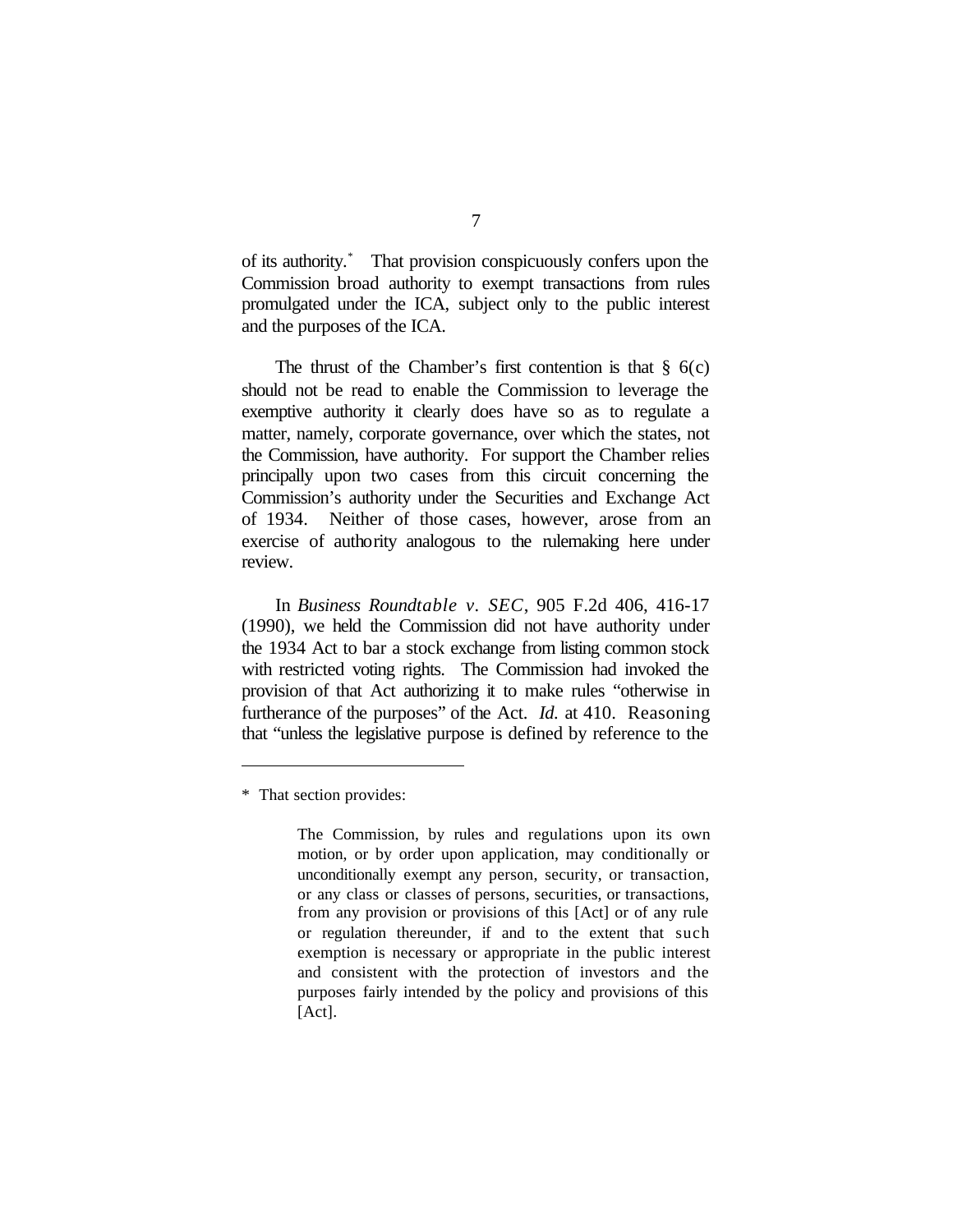of its authority.\* That provision conspicuously confers upon the Commission broad authority to exempt transactions from rules promulgated under the ICA, subject only to the public interest and the purposes of the ICA.

The thrust of the Chamber's first contention is that  $\S$  6(c) should not be read to enable the Commission to leverage the exemptive authority it clearly does have so as to regulate a matter, namely, corporate governance, over which the states, not the Commission, have authority. For support the Chamber relies principally upon two cases from this circuit concerning the Commission's authority under the Securities and Exchange Act of 1934. Neither of those cases, however, arose from an exercise of authority analogous to the rulemaking here under review.

In *Business Roundtable v. SEC*, 905 F.2d 406, 416-17 (1990), we held the Commission did not have authority under the 1934 Act to bar a stock exchange from listing common stock with restricted voting rights. The Commission had invoked the provision of that Act authorizing it to make rules "otherwise in furtherance of the purposes" of the Act. *Id.* at 410. Reasoning that "unless the legislative purpose is defined by reference to the

<sup>\*</sup> That section provides:

The Commission, by rules and regulations upon its own motion, or by order upon application, may conditionally or unconditionally exempt any person, security, or transaction, or any class or classes of persons, securities, or transactions, from any provision or provisions of this [Act] or of any rule or regulation thereunder, if and to the extent that such exemption is necessary or appropriate in the public interest and consistent with the protection of investors and the purposes fairly intended by the policy and provisions of this  $[Act]$ .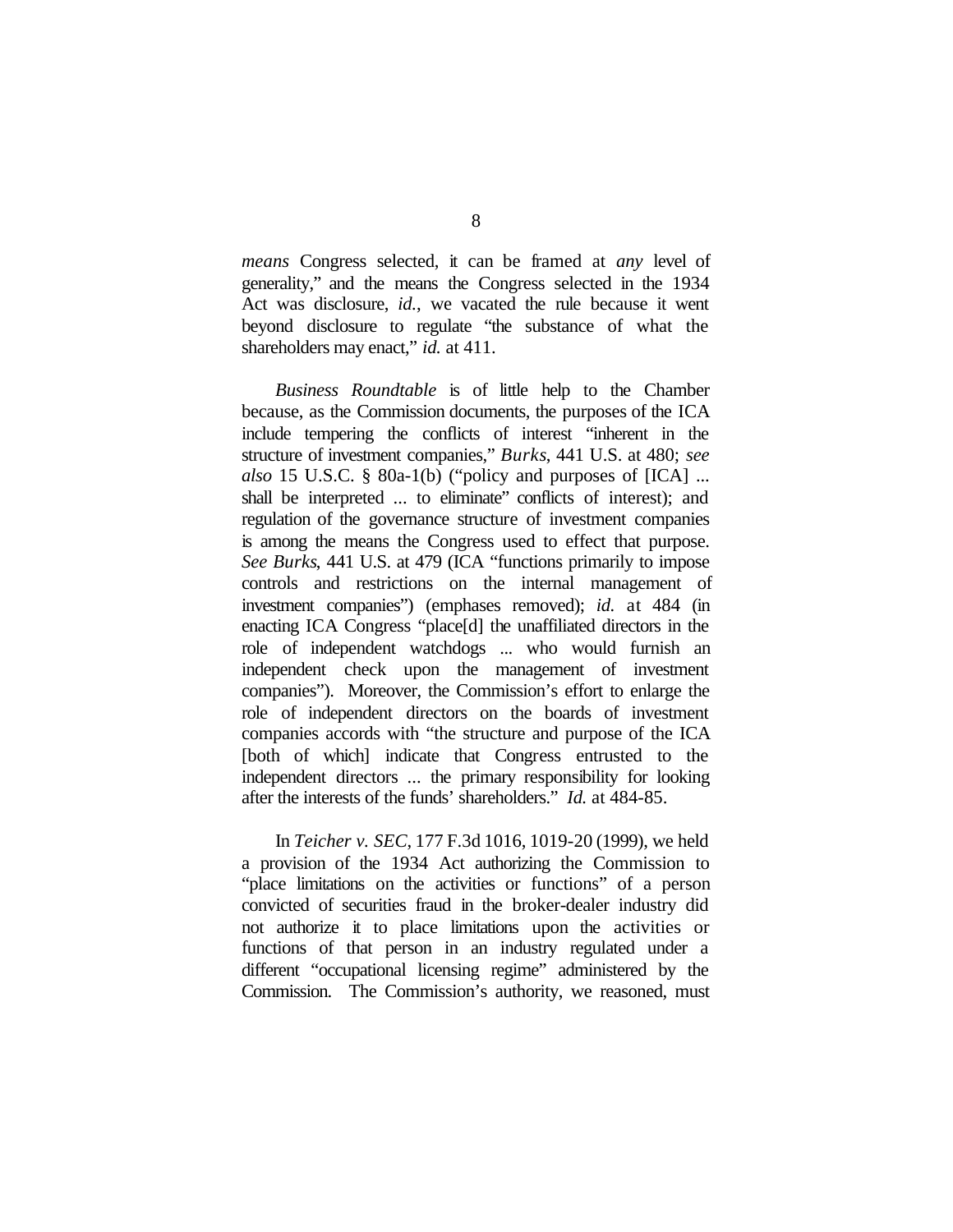*means* Congress selected, it can be framed at *any* level of generality," and the means the Congress selected in the 1934 Act was disclosure, *id.*, we vacated the rule because it went beyond disclosure to regulate "the substance of what the shareholders may enact," *id.* at 411.

*Business Roundtable* is of little help to the Chamber because, as the Commission documents, the purposes of the ICA include tempering the conflicts of interest "inherent in the structure of investment companies," *Burks*, 441 U.S. at 480; *see also* 15 U.S.C. § 80a-1(b) ("policy and purposes of [ICA] ... shall be interpreted ... to eliminate" conflicts of interest); and regulation of the governance structure of investment companies is among the means the Congress used to effect that purpose. *See Burks*, 441 U.S. at 479 (ICA "functions primarily to impose controls and restrictions on the internal management of investment companies") (emphases removed); *id.* at 484 (in enacting ICA Congress "place[d] the unaffiliated directors in the role of independent watchdogs ... who would furnish an independent check upon the management of investment companies"). Moreover, the Commission's effort to enlarge the role of independent directors on the boards of investment companies accords with "the structure and purpose of the ICA [both of which] indicate that Congress entrusted to the independent directors ... the primary responsibility for looking after the interests of the funds' shareholders." *Id.* at 484-85.

In *Teicher v. SEC*, 177 F.3d 1016, 1019-20 (1999), we held a provision of the 1934 Act authorizing the Commission to "place limitations on the activities or functions" of a person convicted of securities fraud in the broker-dealer industry did not authorize it to place limitations upon the activities or functions of that person in an industry regulated under a different "occupational licensing regime" administered by the Commission. The Commission's authority, we reasoned, must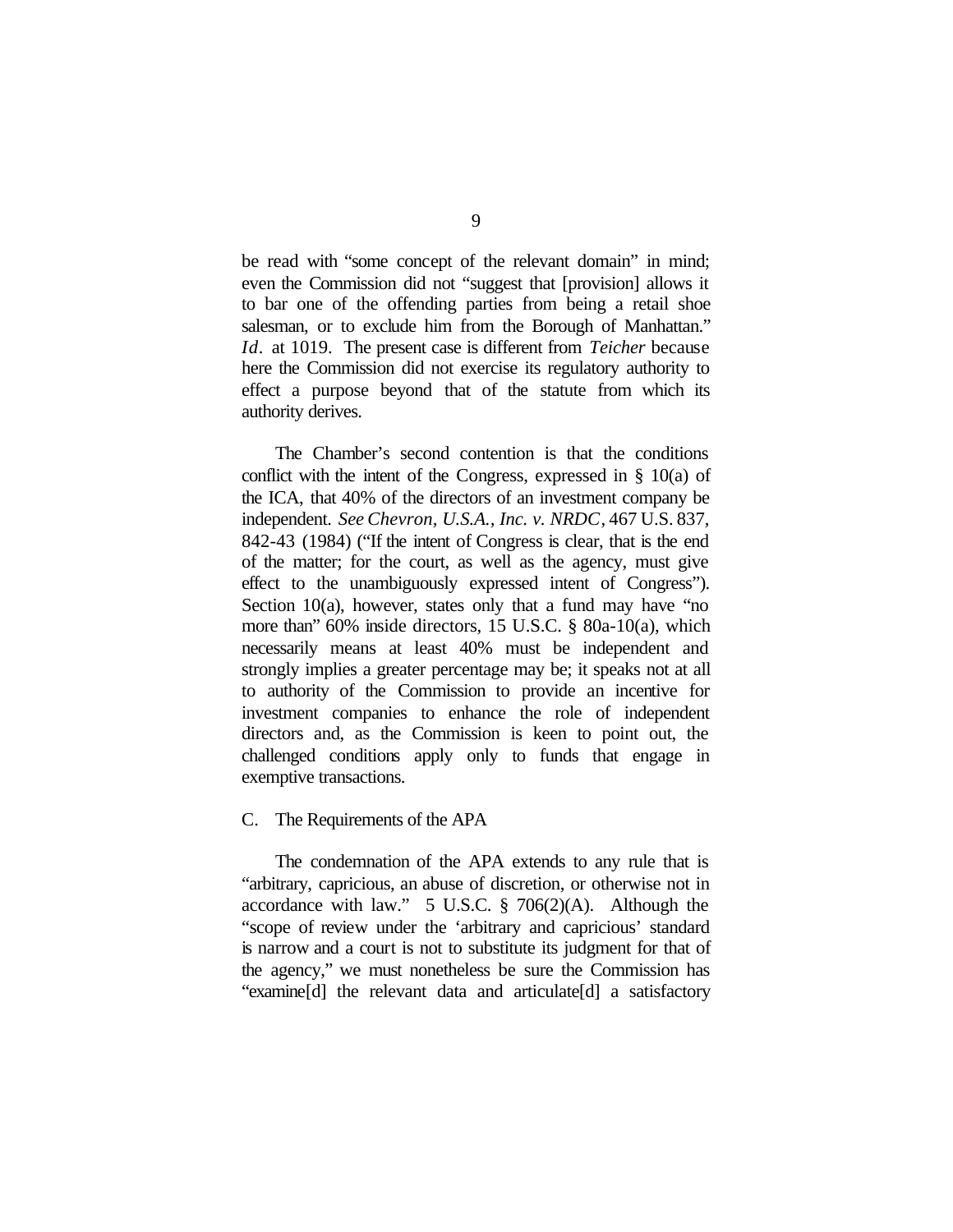be read with "some concept of the relevant domain" in mind; even the Commission did not "suggest that [provision] allows it to bar one of the offending parties from being a retail shoe salesman, or to exclude him from the Borough of Manhattan." *Id.* at 1019. The present case is different from *Teicher* because here the Commission did not exercise its regulatory authority to effect a purpose beyond that of the statute from which its authority derives.

The Chamber's second contention is that the conditions conflict with the intent of the Congress, expressed in § 10(a) of the ICA, that 40% of the directors of an investment company be independent. *See Chevron, U.S.A., Inc. v. NRDC*, 467 U.S. 837, 842-43 (1984) ("If the intent of Congress is clear, that is the end of the matter; for the court, as well as the agency, must give effect to the unambiguously expressed intent of Congress"). Section 10(a), however, states only that a fund may have "no more than" 60% inside directors, 15 U.S.C. § 80a-10(a), which necessarily means at least 40% must be independent and strongly implies a greater percentage may be; it speaks not at all to authority of the Commission to provide an incentive for investment companies to enhance the role of independent directors and, as the Commission is keen to point out, the challenged conditions apply only to funds that engage in exemptive transactions.

# C. The Requirements of the APA

The condemnation of the APA extends to any rule that is "arbitrary, capricious, an abuse of discretion, or otherwise not in accordance with law."  $5 \text{ U.S.C. }$   $\frac{8}{9}$  706(2)(A). Although the "scope of review under the 'arbitrary and capricious' standard is narrow and a court is not to substitute its judgment for that of the agency," we must nonetheless be sure the Commission has "examine[d] the relevant data and articulate[d] a satisfactory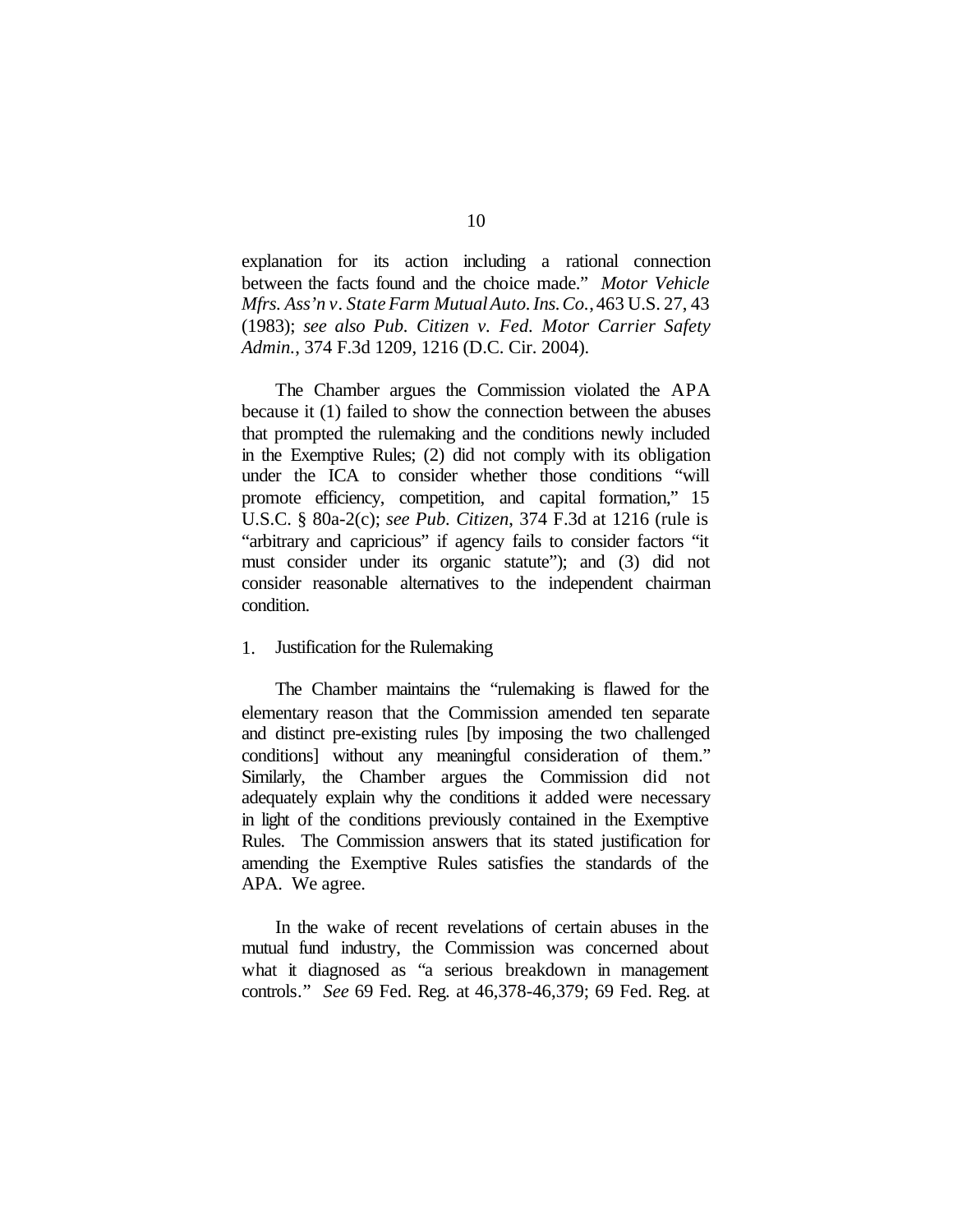explanation for its action including a rational connection between the facts found and the choice made." *Motor Vehicle Mfrs. Ass'n v. StateFarm MutualAuto.Ins.Co.*,463 U.S. 27, 43 (1983); *see also Pub. Citizen v. Fed. Motor Carrier Safety Admin.*, 374 F.3d 1209, 1216 (D.C. Cir. 2004).

The Chamber argues the Commission violated the APA because it (1) failed to show the connection between the abuses that prompted the rulemaking and the conditions newly included in the Exemptive Rules; (2) did not comply with its obligation under the ICA to consider whether those conditions "will promote efficiency, competition, and capital formation," 15 U.S.C. § 80a-2(c); *see Pub. Citizen*, 374 F.3d at 1216 (rule is "arbitrary and capricious" if agency fails to consider factors "it must consider under its organic statute"); and (3) did not consider reasonable alternatives to the independent chairman condition.

#### 1. Justification for the Rulemaking

The Chamber maintains the "rulemaking is flawed for the elementary reason that the Commission amended ten separate and distinct pre-existing rules [by imposing the two challenged conditions] without any meaningful consideration of them." Similarly, the Chamber argues the Commission did not adequately explain why the conditions it added were necessary in light of the conditions previously contained in the Exemptive Rules. The Commission answers that its stated justification for amending the Exemptive Rules satisfies the standards of the APA. We agree.

In the wake of recent revelations of certain abuses in the mutual fund industry, the Commission was concerned about what it diagnosed as "a serious breakdown in management controls." *See* 69 Fed. Reg. at 46,378-46,379; 69 Fed. Reg. at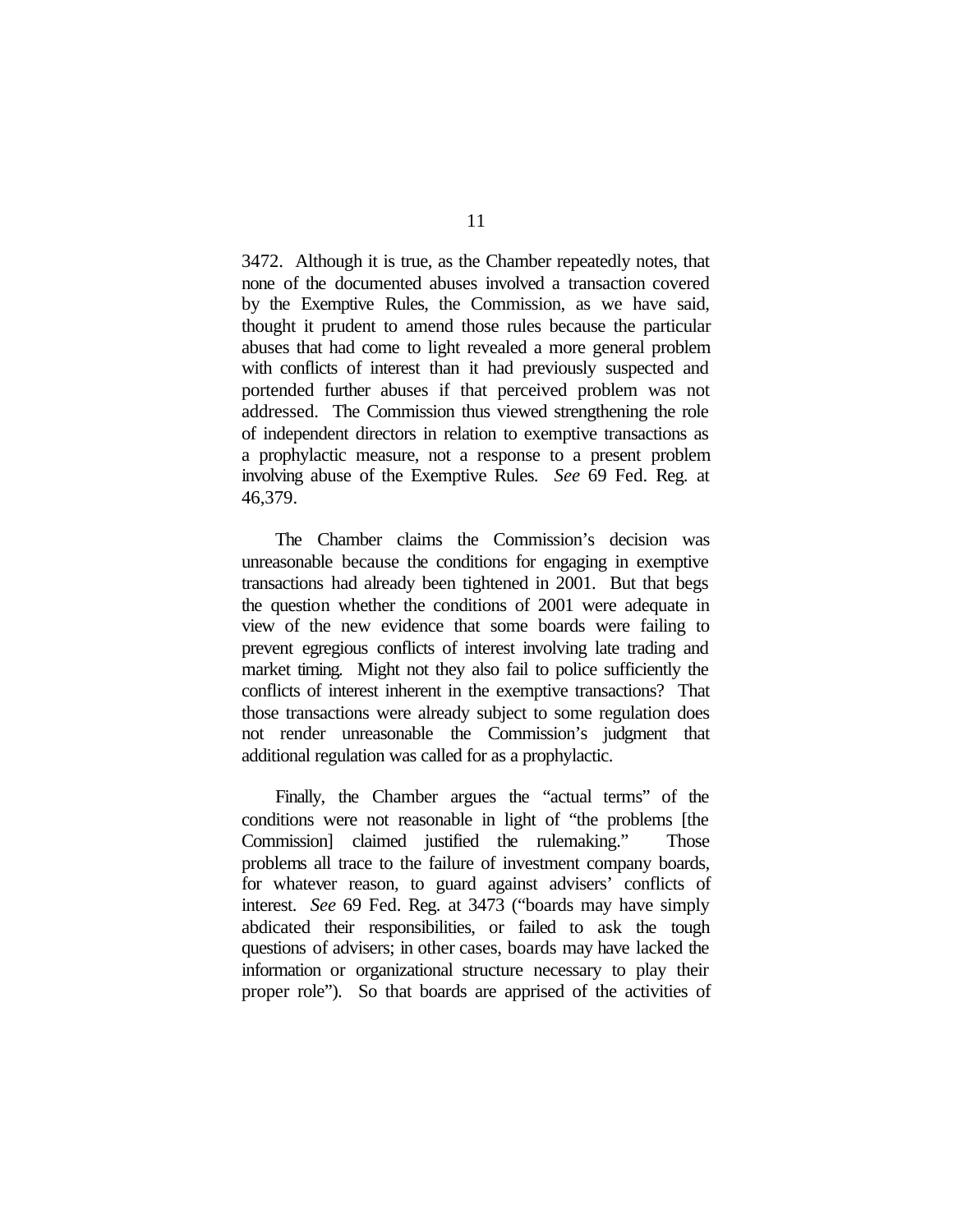3472. Although it is true, as the Chamber repeatedly notes, that none of the documented abuses involved a transaction covered by the Exemptive Rules, the Commission, as we have said, thought it prudent to amend those rules because the particular abuses that had come to light revealed a more general problem with conflicts of interest than it had previously suspected and portended further abuses if that perceived problem was not addressed. The Commission thus viewed strengthening the role of independent directors in relation to exemptive transactions as a prophylactic measure, not a response to a present problem involving abuse of the Exemptive Rules. *See* 69 Fed. Reg. at 46,379.

The Chamber claims the Commission's decision was unreasonable because the conditions for engaging in exemptive transactions had already been tightened in 2001. But that begs the question whether the conditions of 2001 were adequate in view of the new evidence that some boards were failing to prevent egregious conflicts of interest involving late trading and market timing. Might not they also fail to police sufficiently the conflicts of interest inherent in the exemptive transactions? That those transactions were already subject to some regulation does not render unreasonable the Commission's judgment that additional regulation was called for as a prophylactic.

Finally, the Chamber argues the "actual terms" of the conditions were not reasonable in light of "the problems [the Commission] claimed justified the rulemaking." Those problems all trace to the failure of investment company boards, for whatever reason, to guard against advisers' conflicts of interest. *See* 69 Fed. Reg. at 3473 ("boards may have simply abdicated their responsibilities, or failed to ask the tough questions of advisers; in other cases, boards may have lacked the information or organizational structure necessary to play their proper role"). So that boards are apprised of the activities of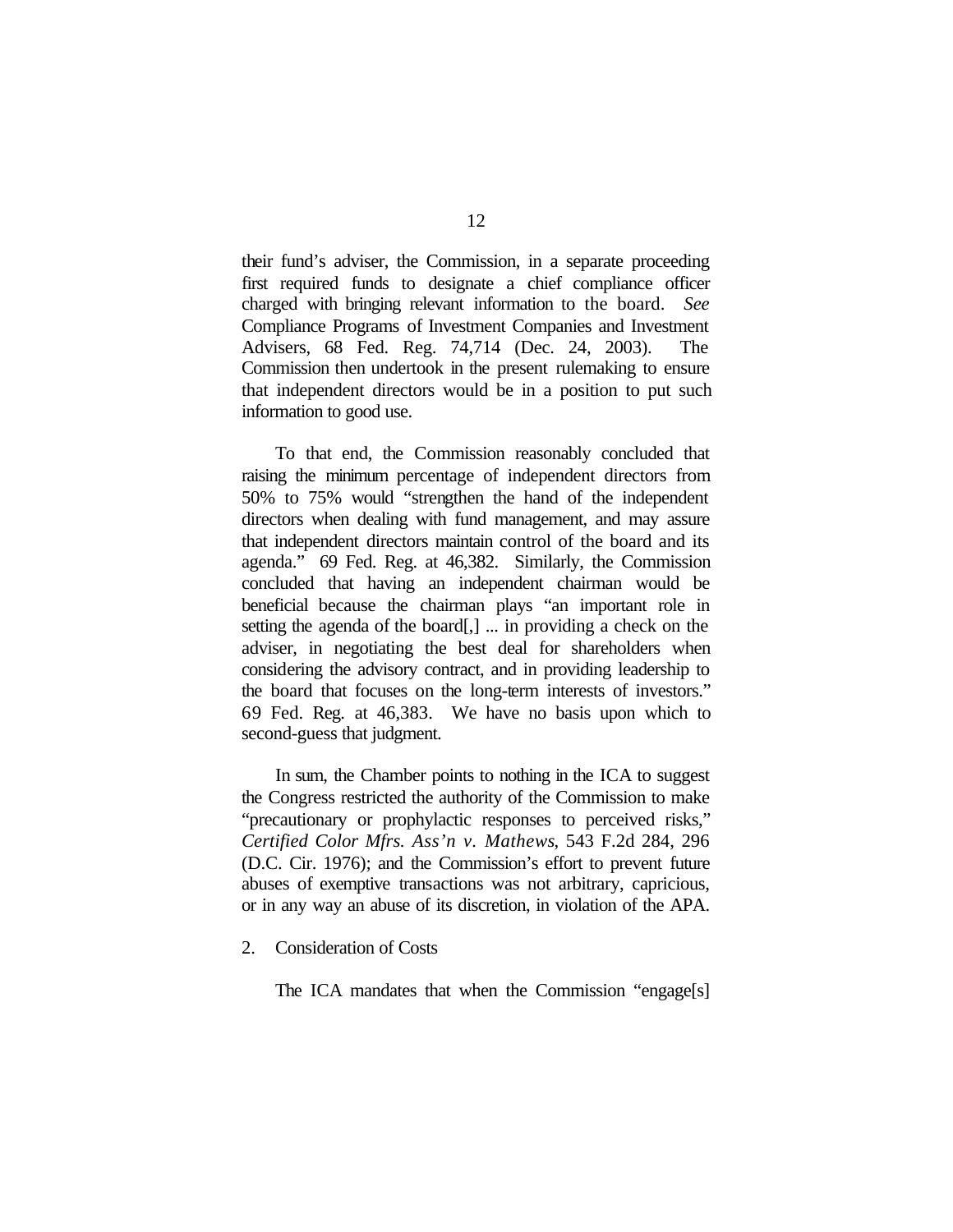their fund's adviser, the Commission, in a separate proceeding first required funds to designate a chief compliance officer charged with bringing relevant information to the board. *See* Compliance Programs of Investment Companies and Investment Advisers, 68 Fed. Reg. 74,714 (Dec. 24, 2003). The Commission then undertook in the present rulemaking to ensure that independent directors would be in a position to put such information to good use.

To that end, the Commission reasonably concluded that raising the minimum percentage of independent directors from 50% to 75% would "strengthen the hand of the independent directors when dealing with fund management, and may assure that independent directors maintain control of the board and its agenda." 69 Fed. Reg. at 46,382. Similarly, the Commission concluded that having an independent chairman would be beneficial because the chairman plays "an important role in setting the agenda of the board[,] ... in providing a check on the adviser, in negotiating the best deal for shareholders when considering the advisory contract, and in providing leadership to the board that focuses on the long-term interests of investors." 69 Fed. Reg. at 46,383. We have no basis upon which to second-guess that judgment.

In sum, the Chamber points to nothing in the ICA to suggest the Congress restricted the authority of the Commission to make "precautionary or prophylactic responses to perceived risks," *Certified Color Mfrs. Ass'n v. Mathews*, 543 F.2d 284, 296 (D.C. Cir. 1976); and the Commission's effort to prevent future abuses of exemptive transactions was not arbitrary, capricious, or in any way an abuse of its discretion, in violation of the APA.

### 2. Consideration of Costs

The ICA mandates that when the Commission "engage[s]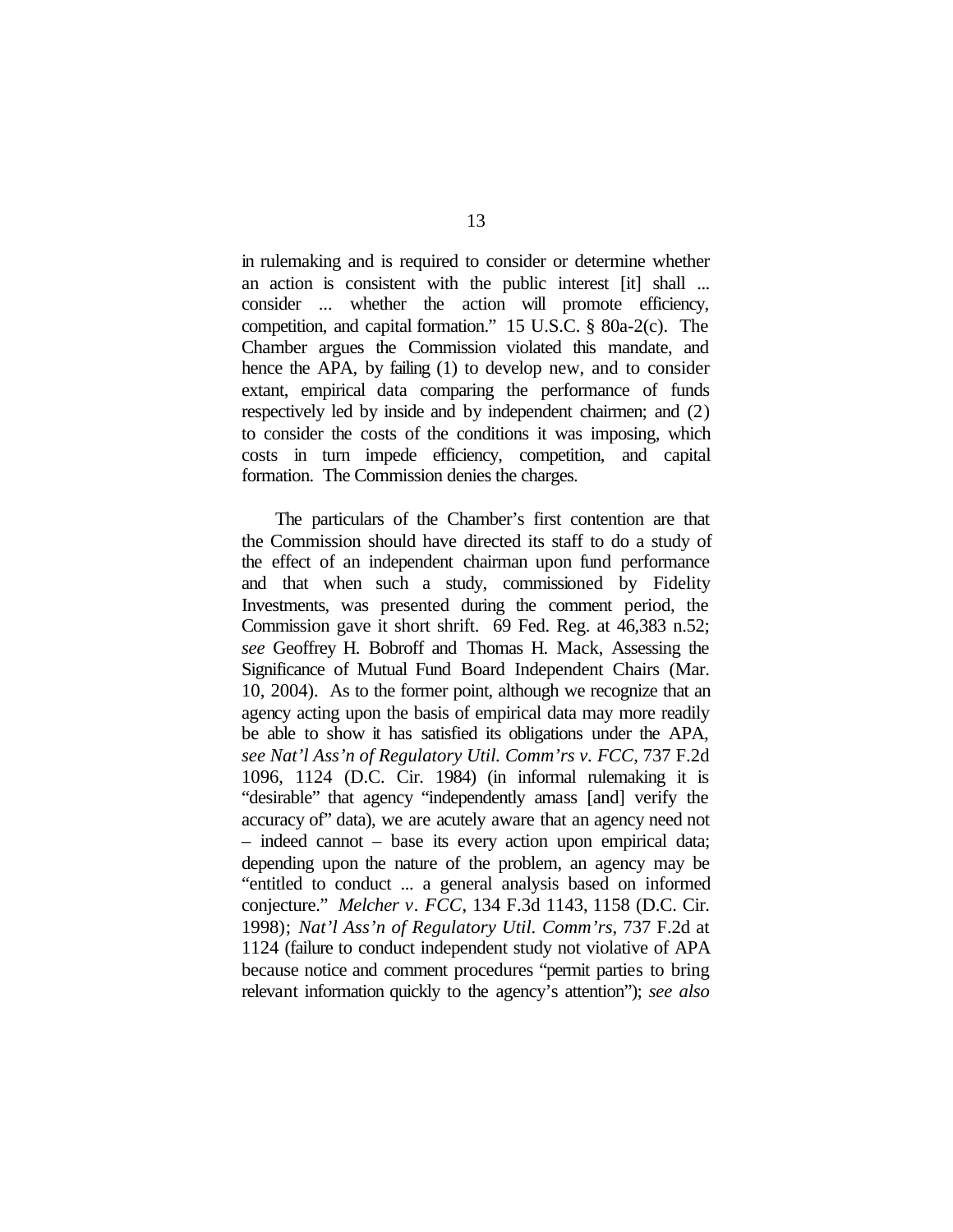in rulemaking and is required to consider or determine whether an action is consistent with the public interest [it] shall ... consider ... whether the action will promote efficiency, competition, and capital formation." 15 U.S.C. § 80a-2(c). The Chamber argues the Commission violated this mandate, and hence the APA, by failing (1) to develop new, and to consider extant, empirical data comparing the performance of funds respectively led by inside and by independent chairmen; and (2) to consider the costs of the conditions it was imposing, which costs in turn impede efficiency, competition, and capital formation. The Commission denies the charges.

The particulars of the Chamber's first contention are that the Commission should have directed its staff to do a study of the effect of an independent chairman upon fund performance and that when such a study, commissioned by Fidelity Investments, was presented during the comment period, the Commission gave it short shrift. 69 Fed. Reg. at 46,383 n.52; *see* Geoffrey H. Bobroff and Thomas H. Mack, Assessing the Significance of Mutual Fund Board Independent Chairs (Mar. 10, 2004). As to the former point, although we recognize that an agency acting upon the basis of empirical data may more readily be able to show it has satisfied its obligations under the APA, *see Nat'l Ass'n of Regulatory Util. Comm'rs v. FCC*, 737 F.2d 1096, 1124 (D.C. Cir. 1984) (in informal rulemaking it is "desirable" that agency "independently amass [and] verify the accuracy of" data), we are acutely aware that an agency need not – indeed cannot – base its every action upon empirical data; depending upon the nature of the problem, an agency may be "entitled to conduct ... a general analysis based on informed conjecture." *Melcher v. FCC*, 134 F.3d 1143, 1158 (D.C. Cir. 1998); *Nat'l Ass'n of Regulatory Util. Comm'rs*, 737 F.2d at 1124 (failure to conduct independent study not violative of APA because notice and comment procedures "permit parties to bring relevant information quickly to the agency's attention"); *see also*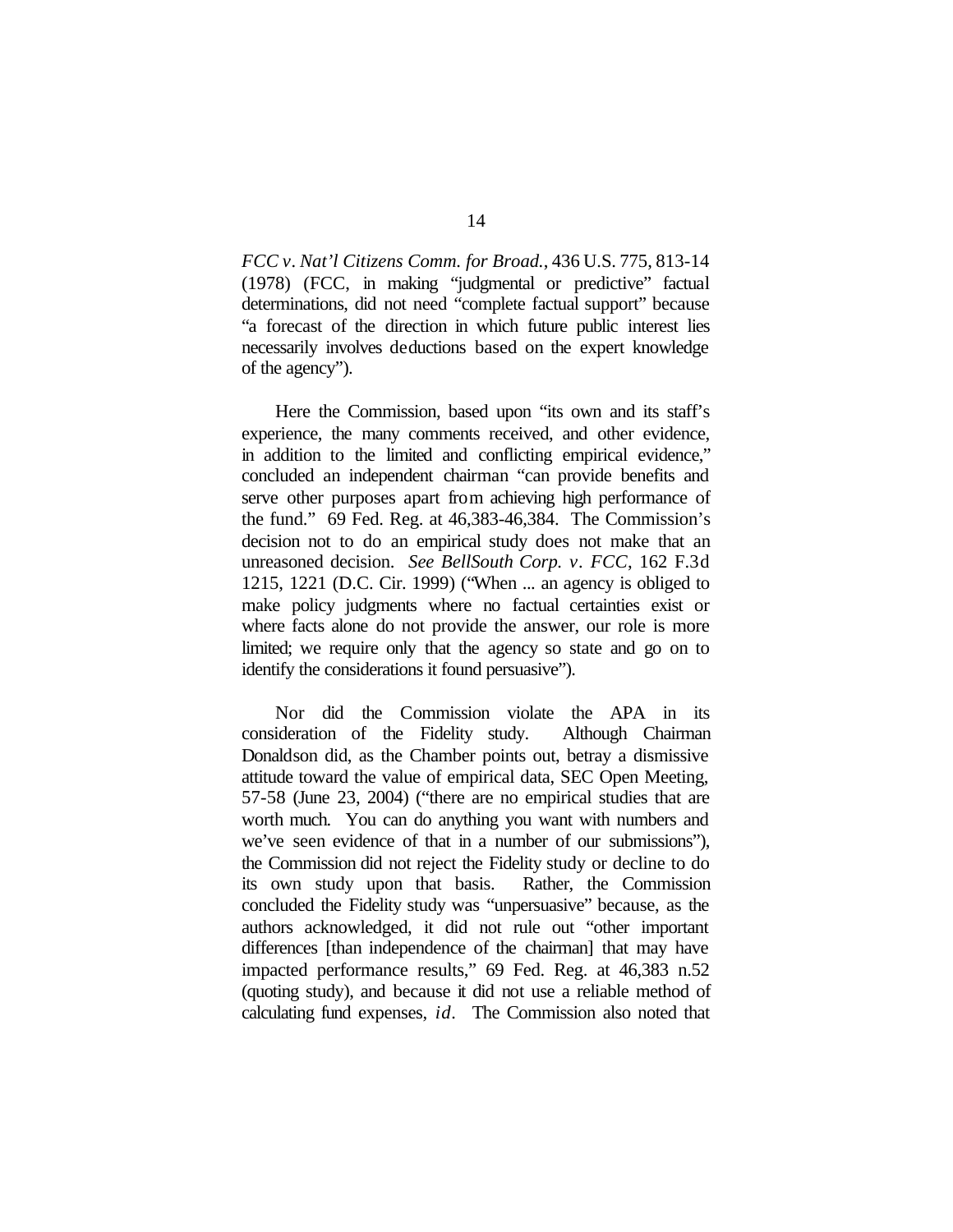*FCC v. Nat'l Citizens Comm. for Broad.*, 436 U.S. 775, 813-14 (1978) (FCC, in making "judgmental or predictive" factual determinations, did not need "complete factual support" because "a forecast of the direction in which future public interest lies necessarily involves deductions based on the expert knowledge of the agency").

Here the Commission, based upon "its own and its staff's experience, the many comments received, and other evidence, in addition to the limited and conflicting empirical evidence," concluded an independent chairman "can provide benefits and serve other purposes apart from achieving high performance of the fund." 69 Fed. Reg. at 46,383-46,384. The Commission's decision not to do an empirical study does not make that an unreasoned decision. *See BellSouth Corp. v. FCC*, 162 F.3d 1215, 1221 (D.C. Cir. 1999) ("When ... an agency is obliged to make policy judgments where no factual certainties exist or where facts alone do not provide the answer, our role is more limited; we require only that the agency so state and go on to identify the considerations it found persuasive").

Nor did the Commission violate the APA in its consideration of the Fidelity study. Although Chairman Donaldson did, as the Chamber points out, betray a dismissive attitude toward the value of empirical data, SEC Open Meeting, 57-58 (June 23, 2004) ("there are no empirical studies that are worth much. You can do anything you want with numbers and we've seen evidence of that in a number of our submissions"), the Commission did not reject the Fidelity study or decline to do its own study upon that basis. Rather, the Commission concluded the Fidelity study was "unpersuasive" because, as the authors acknowledged, it did not rule out "other important differences [than independence of the chairman] that may have impacted performance results," 69 Fed. Reg. at 46,383 n.52 (quoting study), and because it did not use a reliable method of calculating fund expenses, *id.* The Commission also noted that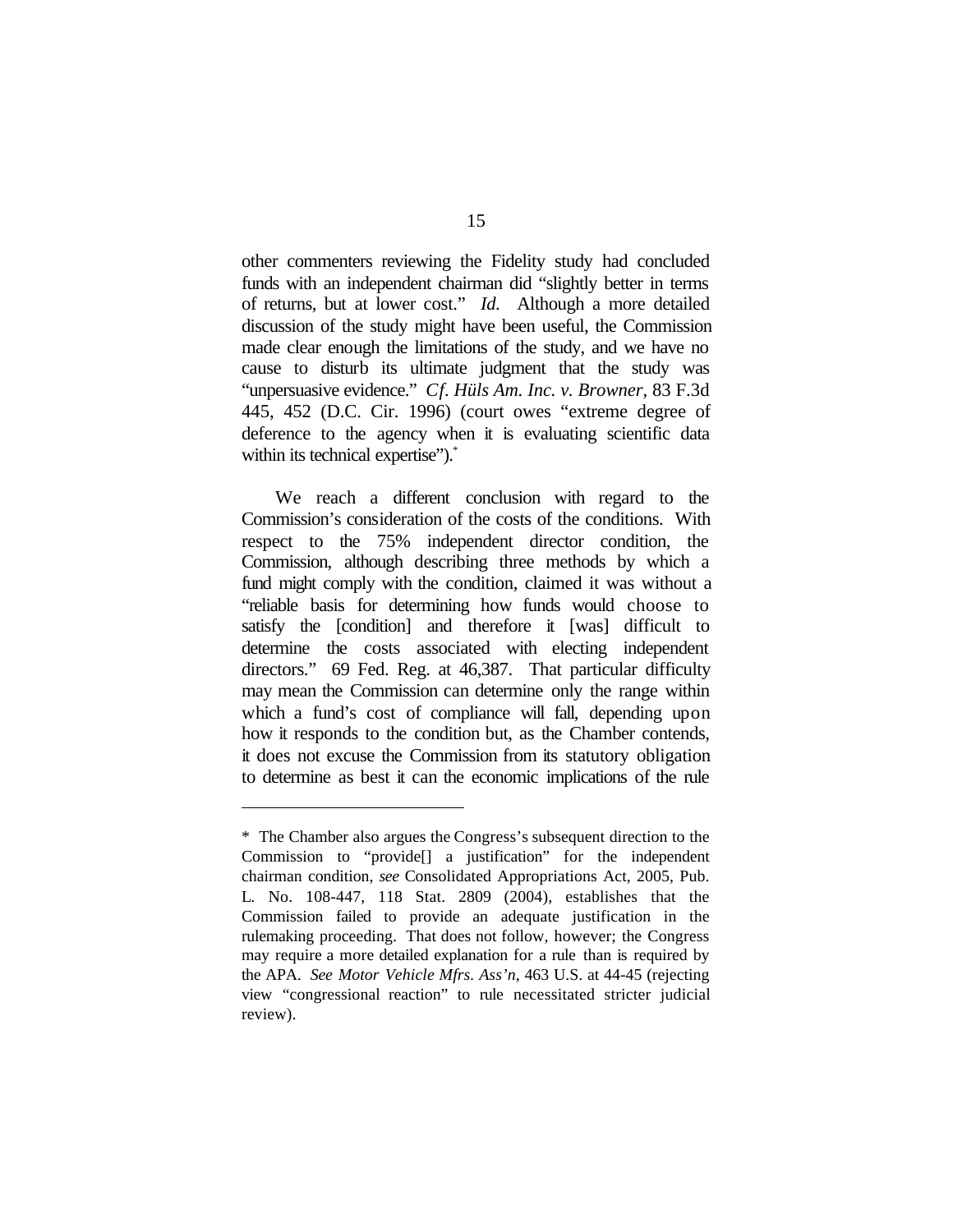other commenters reviewing the Fidelity study had concluded funds with an independent chairman did "slightly better in terms of returns, but at lower cost." *Id.* Although a more detailed discussion of the study might have been useful, the Commission made clear enough the limitations of the study, and we have no cause to disturb its ultimate judgment that the study was "unpersuasive evidence." *Cf. Hüls Am. Inc. v. Browner*, 83 F.3d 445, 452 (D.C. Cir. 1996) (court owes "extreme degree of deference to the agency when it is evaluating scientific data within its technical expertise").<sup>\*</sup>

We reach a different conclusion with regard to the Commission's consideration of the costs of the conditions. With respect to the 75% independent director condition, the Commission, although describing three methods by which a fund might comply with the condition, claimed it was without a "reliable basis for determining how funds would choose to satisfy the [condition] and therefore it [was] difficult to determine the costs associated with electing independent directors." 69 Fed. Reg. at 46,387. That particular difficulty may mean the Commission can determine only the range within which a fund's cost of compliance will fall, depending upon how it responds to the condition but, as the Chamber contends, it does not excuse the Commission from its statutory obligation to determine as best it can the economic implications of the rule

<sup>\*</sup> The Chamber also argues the Congress's subsequent direction to the Commission to "provide[] a justification" for the independent chairman condition, *see* Consolidated Appropriations Act, 2005, Pub. L. No. 108-447, 118 Stat. 2809 (2004), establishes that the Commission failed to provide an adequate justification in the rulemaking proceeding. That does not follow, however; the Congress may require a more detailed explanation for a rule than is required by the APA. *See Motor Vehicle Mfrs. Ass'n*, 463 U.S. at 44-45 (rejecting view "congressional reaction" to rule necessitated stricter judicial review).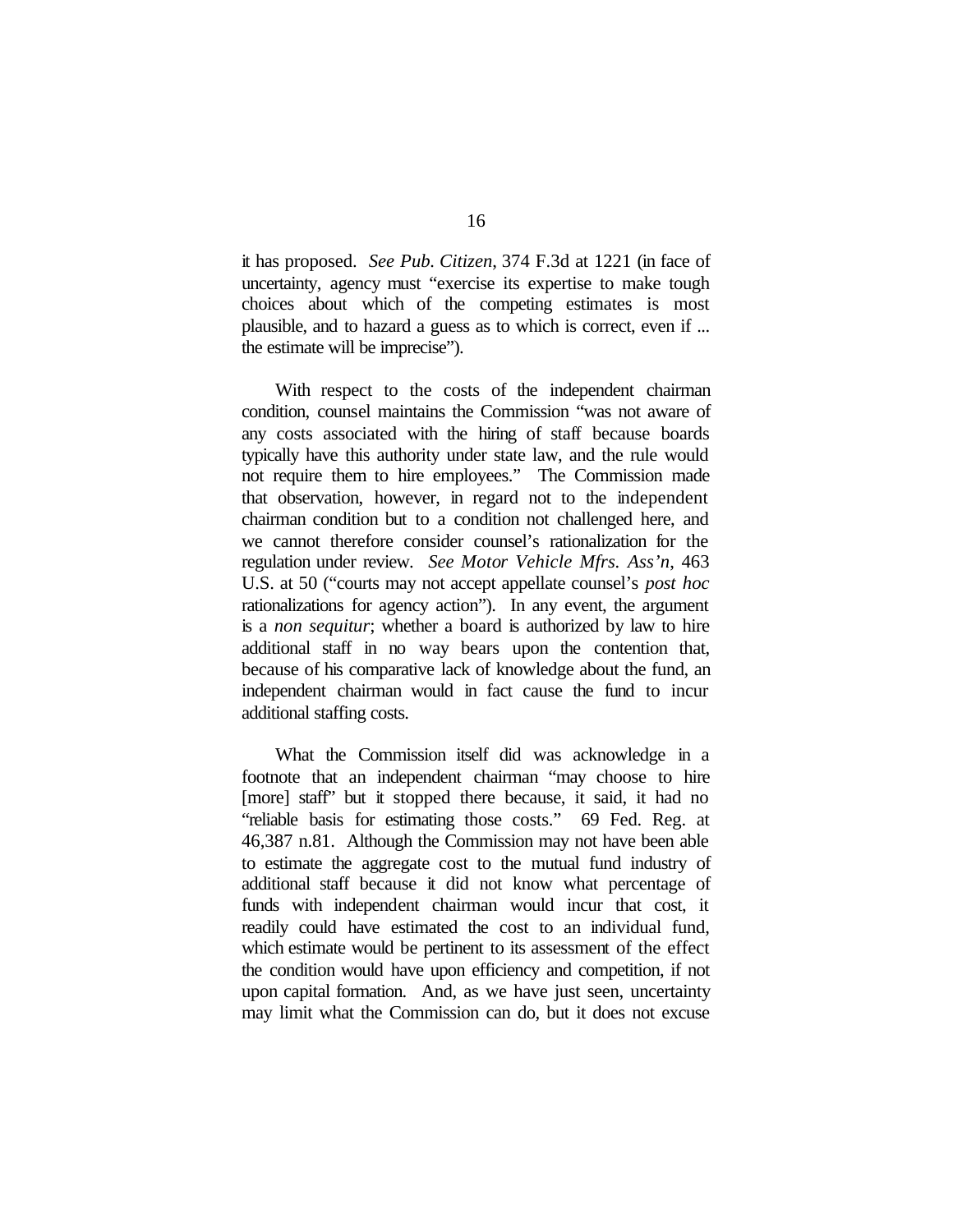it has proposed. *See Pub. Citizen*, 374 F.3d at 1221 (in face of uncertainty, agency must "exercise its expertise to make tough choices about which of the competing estimates is most plausible, and to hazard a guess as to which is correct, even if ... the estimate will be imprecise").

With respect to the costs of the independent chairman condition, counsel maintains the Commission "was not aware of any costs associated with the hiring of staff because boards typically have this authority under state law, and the rule would not require them to hire employees." The Commission made that observation, however, in regard not to the independent chairman condition but to a condition not challenged here, and we cannot therefore consider counsel's rationalization for the regulation under review. *See Motor Vehicle Mfrs. Ass'n*, 463 U.S. at 50 ("courts may not accept appellate counsel's *post hoc* rationalizations for agency action"). In any event, the argument is a *non sequitur*; whether a board is authorized by law to hire additional staff in no way bears upon the contention that, because of his comparative lack of knowledge about the fund, an independent chairman would in fact cause the fund to incur additional staffing costs.

What the Commission itself did was acknowledge in a footnote that an independent chairman "may choose to hire [more] staff" but it stopped there because, it said, it had no "reliable basis for estimating those costs." 69 Fed. Reg. at 46,387 n.81. Although the Commission may not have been able to estimate the aggregate cost to the mutual fund industry of additional staff because it did not know what percentage of funds with independent chairman would incur that cost, it readily could have estimated the cost to an individual fund, which estimate would be pertinent to its assessment of the effect the condition would have upon efficiency and competition, if not upon capital formation. And, as we have just seen, uncertainty may limit what the Commission can do, but it does not excuse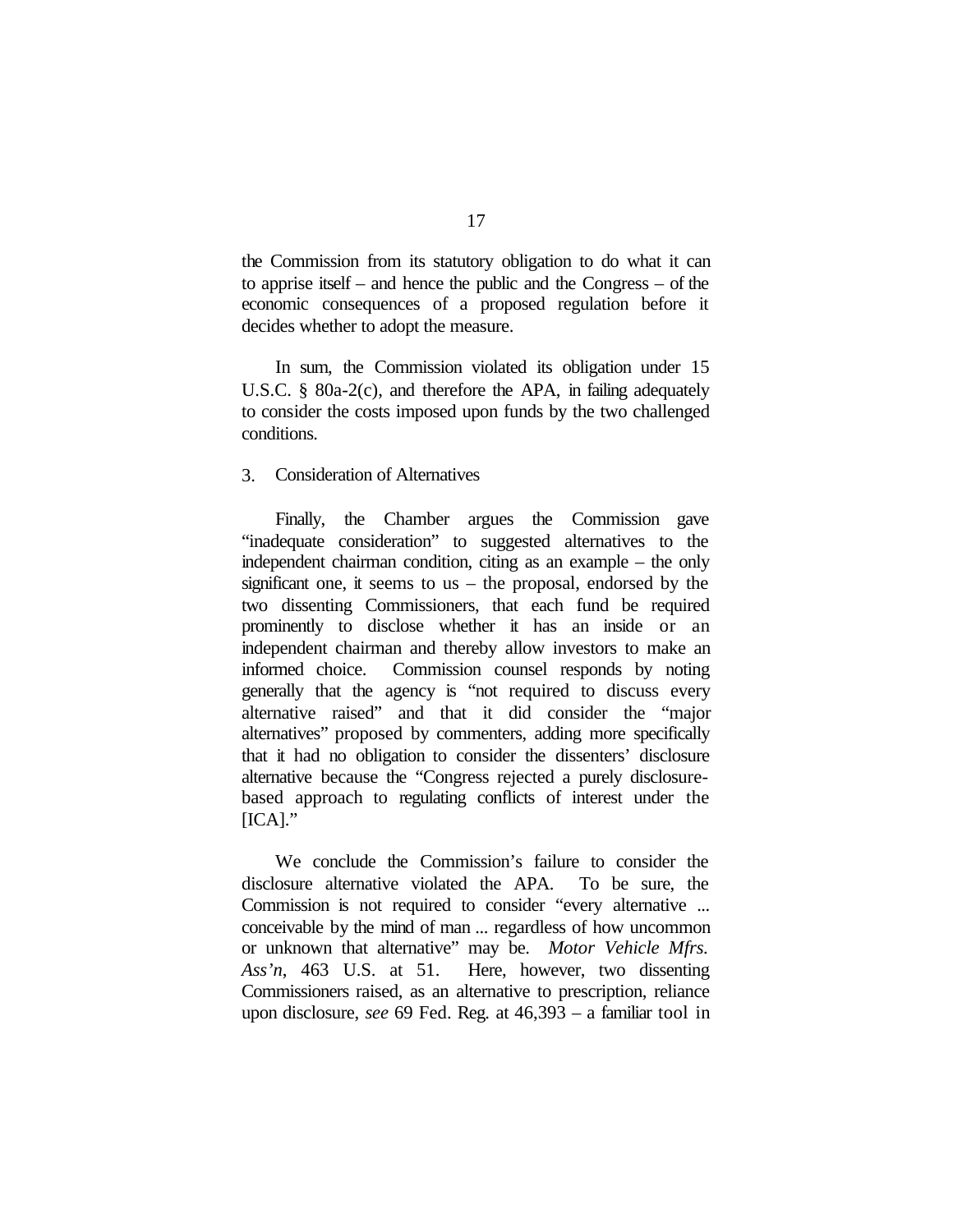the Commission from its statutory obligation to do what it can to apprise itself – and hence the public and the Congress – of the economic consequences of a proposed regulation before it decides whether to adopt the measure.

In sum, the Commission violated its obligation under 15 U.S.C. § 80a-2(c), and therefore the APA, in failing adequately to consider the costs imposed upon funds by the two challenged conditions.

## 3. Consideration of Alternatives

Finally, the Chamber argues the Commission gave "inadequate consideration" to suggested alternatives to the independent chairman condition, citing as an example – the only significant one, it seems to us – the proposal, endorsed by the two dissenting Commissioners, that each fund be required prominently to disclose whether it has an inside or an independent chairman and thereby allow investors to make an informed choice. Commission counsel responds by noting generally that the agency is "not required to discuss every alternative raised" and that it did consider the "major alternatives" proposed by commenters, adding more specifically that it had no obligation to consider the dissenters' disclosure alternative because the "Congress rejected a purely disclosurebased approach to regulating conflicts of interest under the  $[ICA]$ ."

We conclude the Commission's failure to consider the disclosure alternative violated the APA. To be sure, the Commission is not required to consider "every alternative ... conceivable by the mind of man ... regardless of how uncommon or unknown that alternative" may be. *Motor Vehicle Mfrs. Ass'n*, 463 U.S. at 51. Here, however, two dissenting Commissioners raised, as an alternative to prescription, reliance upon disclosure, *see* 69 Fed. Reg. at 46,393 – a familiar tool in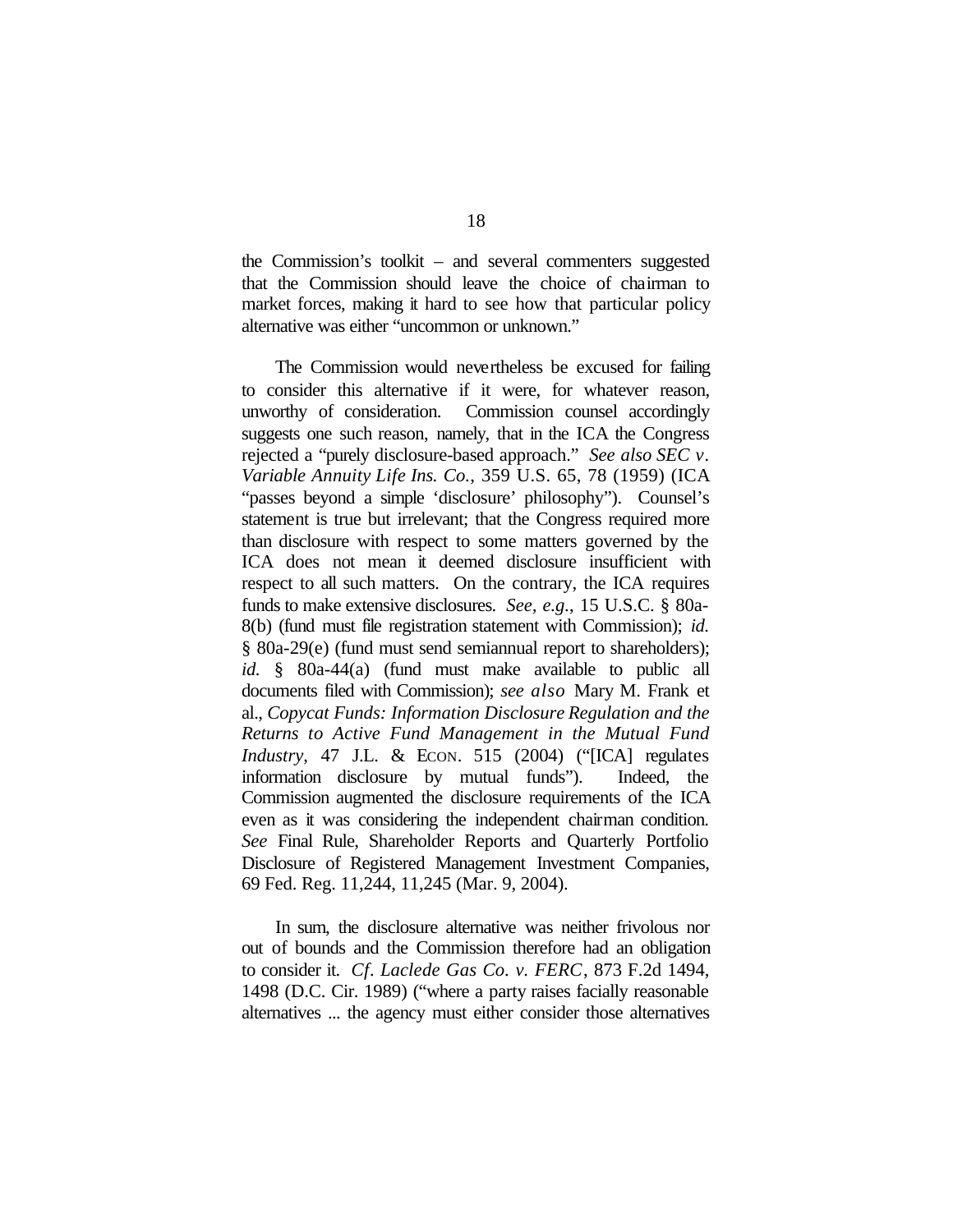the Commission's toolkit – and several commenters suggested that the Commission should leave the choice of chairman to market forces, making it hard to see how that particular policy alternative was either "uncommon or unknown."

The Commission would nevertheless be excused for failing to consider this alternative if it were, for whatever reason, unworthy of consideration. Commission counsel accordingly suggests one such reason, namely, that in the ICA the Congress rejected a "purely disclosure-based approach." *See also SEC v. Variable Annuity Life Ins. Co.*, 359 U.S. 65, 78 (1959) (ICA "passes beyond a simple 'disclosure' philosophy"). Counsel's statement is true but irrelevant; that the Congress required more than disclosure with respect to some matters governed by the ICA does not mean it deemed disclosure insufficient with respect to all such matters. On the contrary, the ICA requires funds to make extensive disclosures. *See, e.g.*, 15 U.S.C. § 80a-8(b) (fund must file registration statement with Commission); *id.* § 80a-29(e) (fund must send semiannual report to shareholders); *id.* § 80a-44(a) (fund must make available to public all documents filed with Commission); *see also* Mary M. Frank et al., *Copycat Funds: Information Disclosure Regulation and the Returns to Active Fund Management in the Mutual Fund Industry*, 47 J.L. & ECON. 515 (2004) ("[ICA] regulates information disclosure by mutual funds"). Indeed, the Commission augmented the disclosure requirements of the ICA even as it was considering the independent chairman condition. *See* Final Rule, Shareholder Reports and Quarterly Portfolio Disclosure of Registered Management Investment Companies, 69 Fed. Reg. 11,244, 11,245 (Mar. 9, 2004).

In sum, the disclosure alternative was neither frivolous nor out of bounds and the Commission therefore had an obligation to consider it. *Cf. Laclede Gas Co. v. FERC*, 873 F.2d 1494, 1498 (D.C. Cir. 1989) ("where a party raises facially reasonable alternatives ... the agency must either consider those alternatives